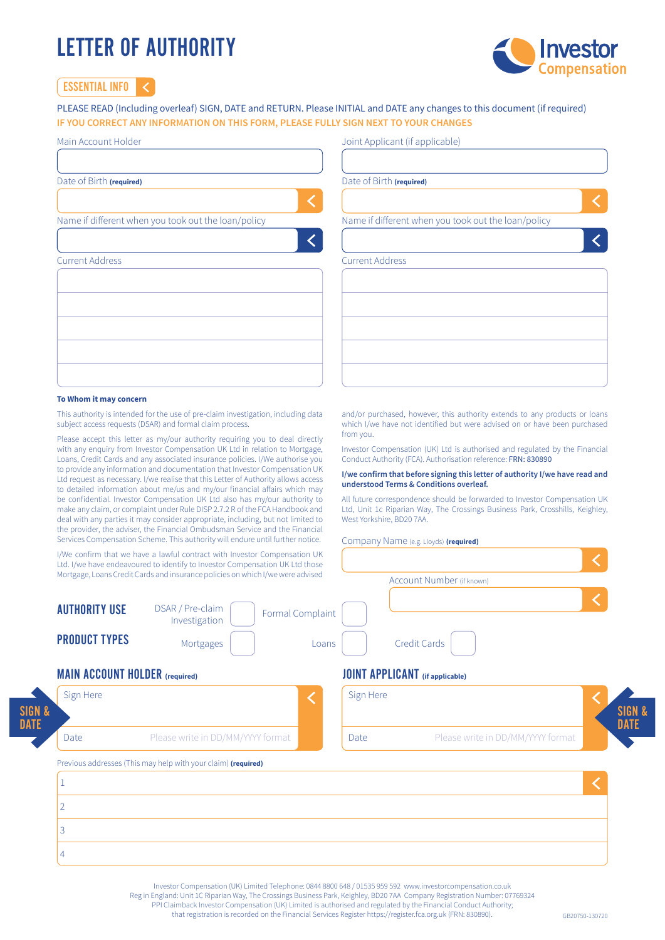# LETTER OF AUTHORITY



Essential Info

# PLEASE READ (Including overleaf) SIGN, DATE and RETURN. Please INITIAL and DATE any changes to this document (if required) **IF YOU CORRECT ANY INFORMATION ON THIS FORM, PLEASE FULLY SIGN NEXT TO YOUR CHANGES**

| Main Account Holder                                 | Joint Applicant (if applicable)                     |
|-----------------------------------------------------|-----------------------------------------------------|
| Date of Birth (required)                            | Date of Birth (required)                            |
| Name if different when you took out the loan/policy | Name if different when you took out the loan/policy |
|                                                     |                                                     |
| <b>Current Address</b>                              | <b>Current Address</b>                              |
|                                                     |                                                     |
|                                                     |                                                     |
|                                                     |                                                     |
|                                                     |                                                     |

# **To Whom it may concern**

This authority is intended for the use of pre-claim investigation, including data subject access requests (DSAR) and formal claim process.

Please accept this letter as my/our authority requiring you to deal directly with any enquiry from Investor Compensation UK Ltd in relation to Mortgage, Loans, Credit Cards and any associated insurance policies. I/We authorise you to provide any information and documentation that Investor Compensation UK Ltd request as necessary. I/we realise that this Letter of Authority allows access to detailed information about me/us and my/our financial affairs which may be confidential. Investor Compensation UK Ltd also has my/our authority to make any claim, or complaint under Rule DISP 2.7.2 R of the FCA Handbook and deal with any parties it may consider appropriate, including, but not limited to the provider, the adviser, the Financial Ombudsman Service and the Financial Services Compensation Scheme. This authority will endure until further notice.

and/or purchased, however, this authority extends to any products or loans which I/we have not identified but were advised on or have been purchased from you.

Investor Compensation (UK) Ltd is authorised and regulated by the Financial Conduct Authority (FCA). Authorisation reference: FRN: 830890

## **I/we confirm that before signing this letter of authority I/we have read and understood Terms & Conditions overleaf.**

All future correspondence should be forwarded to Investor Compensation UK Ltd, Unit 1c Riparian Way, The Crossings Business Park, Crosshills, Keighley, West Yorkshire, BD20 7AA

# Company Name (e.g. Lloyds) **(required)**

|                      | I/We confirm that we have a lawful contract with Investor Compensation UK<br>Ltd. I/we have endeavoured to identify to Investor Compensation UK Ltd those |                  |                           |  |
|----------------------|-----------------------------------------------------------------------------------------------------------------------------------------------------------|------------------|---------------------------|--|
|                      | Mortgage, Loans Credit Cards and insurance policies on which I/we were advised                                                                            |                  | Account Number (if known) |  |
| <b>AUTHORITY USE</b> | DSAR / Pre-claim<br>Investigation                                                                                                                         | Formal Complaint |                           |  |
| <b>PRODUCT TYPES</b> | Mortgages                                                                                                                                                 | Loans            | Credit Cards              |  |

# Main Account Holder **(required)** Joint Applicant **(if applicable)**

3

4

| Sign Here |                                                               | Sign Here |                                   | SIGN &      |
|-----------|---------------------------------------------------------------|-----------|-----------------------------------|-------------|
| Date      | Please write in DD/MM/YYYY format                             | Date      | Please write in DD/MM/YYYY format | <b>DATE</b> |
|           |                                                               |           |                                   |             |
|           | Previous addresses (This may help with your claim) (required) |           |                                   |             |
|           |                                                               |           |                                   |             |

Investor Compensation (UK) Limited Telephone: 0844 8800 648 / 01535 959 592 www.investorcompensation.co.uk

Reg in England: Unit 1C Riparian Way, The Crossings Business Park, Keighley, BD20 7AA Company Registration Number: 07769324

PPI Claimback Investor Compensation (UK) Limited is authorised and regulated by the Financial Conduct Authority;

that registration is recorded on the Financial Services Register https://register.fca.org.uk (FRN: 830890).